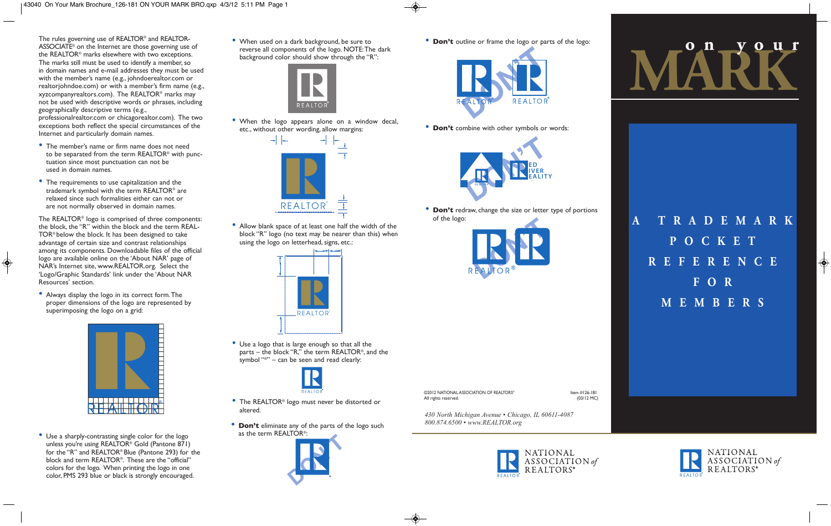The rules governing use of REALTOR® and REALTOR-ASSOCIATE® on the Internet are those governing use of the REALTOR® marks elsewhere with two exceptions. The marks still must be used to identify a member, so in domain names and e-mail addresses they must be used with the member's name (e.g., johndoerealtor.com or realtorjohndoe.com) or with a member's firm name (e.g., xyzcompanyrealtors.com). The REALTOR® marks may not be used with descriptive words or phrases, including geographically descriptive terms (e.g., professionalrealtor.com or chicagorealtor.com). The two exceptions both reflect the special circumstances of the Internet and particularly domain names.

- The member's name or firm name does not need to be separated from the term REALTOR® with punctuation since most punctuation can not be used in domain names.
- The requirements to use capitalization and the trademark symbol with the term REALTOR® are relaxed since such formalities either can not or are not normally observed in domain names.

The REALTOR® logo is comprised of three components: the block, the "R" within the block and the term REAL-TOR® below the block. It has been designed to take advantage of certain size and contrast relationships among its components. Downloadable files of the official logo are available online on the 'About NAR' page of NAR's Internet site, www.REALTOR.org. Select the 'Logo/Graphic Standards' link under the 'About NAR Resources' section.

• Always display the logo in its correct form.The proper dimensions of the logo are represented by superimposing the logo on a grid:



• Use a sharply-contrasting single color for the logo unless you're using REALTOR® Gold (Pantone 871) for the "R" and REALTOR® Blue (Pantone 293) for the block and term REALTOR®. These are the "official" colors for the logo. When printing the logo in one color, PMS 293 blue or black is strongly encouraged.

• When used on <sup>a</sup> dark background, be sure to reverse all components of the logo. NOTE:The dark background color should show through the "R":



• When the logo appears alone on <sup>a</sup> window decal, etc., without other wording, allow margins:



• Allow blank space of at least one half the width of the block "R" logo (no text may be nearer than this) when using the logo on letterhead, signs, etc.:



• Use <sup>a</sup> logo that is large enough so that all the parts – the block "R," the term REALTOR®, and the symbol "<sup>®</sup>" – can be seen and read clearly:



- The REALTOR® logo must never be distorted or altered.
- **Don't** eliminate any of the parts of the logo such as the term REALTOR®:



• **Don't** outline or frame the logo or parts of the logo:



• **Don't** combine with other symbols or words:



• **Don't** redraw, change the size or letter type of portions of the logo:





*430 North Michigan Avenue • Chicago, IL 60611-4087 800.874.6500 • www.REALTOR.org*

All rights reserved.





**A T R A D E M A R K P O C K E T R E F E R E N C E F O R M E M B E R S**

> NATIONAL ASSOCIATION of REALTORS<sup>®</sup>